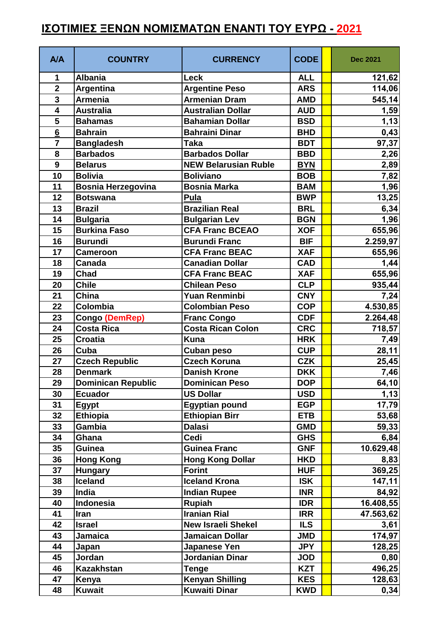## **ΙΣΟΤΙΜΙΕΣ ΞΕΝΩΝ ΝΟΜΙΣΜΑΤΩΝ ΕΝΑΝΤΙ ΤΟΥ ΕΥΡΩ - 2021**

| <b>A/A</b>              | <b>COUNTRY</b>            | <b>CURRENCY</b>             | <b>CODE</b> | <b>Dec 2021</b> |
|-------------------------|---------------------------|-----------------------------|-------------|-----------------|
| 1                       | <b>Albania</b>            | <b>Leck</b>                 | <b>ALL</b>  | 121,62          |
| $\overline{\mathbf{2}}$ | Argentina                 | <b>Argentine Peso</b>       | <b>ARS</b>  | 114,06          |
| $\overline{3}$          | Armenia                   | <b>Armenian Dram</b>        | <b>AMD</b>  | 545,14          |
| $\overline{\mathbf{4}}$ | <b>Australia</b>          | <b>Australian Dollar</b>    | <b>AUD</b>  | 1,59            |
| 5                       | <b>Bahamas</b>            | <b>Bahamian Dollar</b>      | <b>BSD</b>  | 1,13            |
| $6\phantom{1}6$         | <b>Bahrain</b>            | <b>Bahraini Dinar</b>       | <b>BHD</b>  | 0,43            |
| $\overline{7}$          | <b>Bangladesh</b>         | <b>Taka</b>                 | <b>BDT</b>  | 97,37           |
| 8                       | <b>Barbados</b>           | <b>Barbados Dollar</b>      | <b>BBD</b>  | 2,26            |
| $\mathbf{9}$            | <b>Belarus</b>            | <b>NEW Belarusian Ruble</b> | <b>BYN</b>  | 2,89            |
| 10                      | <b>Bolivia</b>            | <b>Boliviano</b>            | <b>BOB</b>  | 7,82            |
| 11                      | <b>Bosnia Herzegovina</b> | <b>Bosnia Marka</b>         | <b>BAM</b>  | 1,96            |
| 12                      | <b>Botswana</b>           | Pula                        | <b>BWP</b>  | 13,25           |
| 13                      | <b>Brazil</b>             | <b>Brazilian Real</b>       | <b>BRL</b>  | 6,34            |
| 14                      | <b>Bulgaria</b>           | <b>Bulgarian Lev</b>        | <b>BGN</b>  | 1,96            |
| 15                      | <b>Burkina Faso</b>       | <b>CFA Franc BCEAO</b>      | <b>XOF</b>  | 655,96          |
| 16                      | <b>Burundi</b>            | <b>Burundi Franc</b>        | <b>BIF</b>  | 2.259,97        |
| 17                      | <b>Cameroon</b>           | <b>CFA Franc BEAC</b>       | <b>XAF</b>  | 655,96          |
| 18                      | <b>Canada</b>             | <b>Canadian Dollar</b>      | <b>CAD</b>  | 1,44            |
| 19                      | Chad                      | <b>CFA Franc BEAC</b>       | <b>XAF</b>  | 655,96          |
| 20                      | <b>Chile</b>              | <b>Chilean Peso</b>         | <b>CLP</b>  | 935,44          |
| 21                      | China                     | <b>Yuan Renminbi</b>        | <b>CNY</b>  | 7,24            |
| 22                      | Colombia                  | <b>Colombian Peso</b>       | <b>COP</b>  | 4.530,85        |
| 23                      | Congo (DemRep)            | <b>Franc Congo</b>          | <b>CDF</b>  | 2.264,48        |
| 24                      | <b>Costa Rica</b>         | <b>Costa Rican Colon</b>    | <b>CRC</b>  | 718,57          |
| 25                      | <b>Croatia</b>            | <b>Kuna</b>                 | <b>HRK</b>  | 7,49            |
| 26                      | Cuba                      | <b>Cuban peso</b>           | <b>CUP</b>  | 28,11           |
| 27                      | <b>Czech Republic</b>     | <b>Czech Koruna</b>         | <b>CZK</b>  | 25,45           |
| 28                      | <b>Denmark</b>            | <b>Danish Krone</b>         | <b>DKK</b>  | 7,46            |
| 29                      | <b>Dominican Republic</b> | <b>Dominican Peso</b>       | <b>DOP</b>  | 64,10           |
| 30                      | <b>Ecuador</b>            | <b>US Dollar</b>            | <b>USD</b>  | 1,13            |
| 31                      | <b>Egypt</b>              | <b>Egyptian pound</b>       | <b>EGP</b>  | 17,79           |
| 32                      | <b>Ethiopia</b>           | <b>Ethiopian Birr</b>       | <b>ETB</b>  | 53,68           |
| 33                      | Gambia                    | <b>Dalasi</b>               | <b>GMD</b>  | 59,33           |
| 34                      | Ghana                     | Cedi                        | <b>GHS</b>  | 6,84            |
| 35                      | <b>Guinea</b>             | <b>Guinea Franc</b>         | <b>GNF</b>  | 10.629,48       |
| 36                      | <b>Hong Kong</b>          | <b>Hong Kong Dollar</b>     | <b>HKD</b>  | 8,83            |
| 37                      | <b>Hungary</b>            | <b>Forint</b>               | <b>HUF</b>  | 369,25          |
| 38                      | <b>Iceland</b>            | <b>Iceland Krona</b>        | <b>ISK</b>  | 147,11          |
| 39                      | India                     | <b>Indian Rupee</b>         | <b>INR</b>  | 84,92           |
| 40                      | Indonesia                 | <b>Rupiah</b>               | <b>IDR</b>  | 16.408,55       |
| 41                      | Iran                      | <b>Iranian Rial</b>         | <b>IRR</b>  | 47.563,62       |
| 42                      | <b>Israel</b>             | <b>New Israeli Shekel</b>   | <b>ILS</b>  | 3,61            |
| 43                      | Jamaica                   | <b>Jamaican Dollar</b>      | <b>JMD</b>  | 174,97          |
| 44                      | Japan                     | <b>Japanese Yen</b>         | <b>JPY</b>  | 128,25          |
| 45                      | Jordan                    | <b>Jordanian Dinar</b>      | <b>JOD</b>  | 0,80            |
| 46                      | <b>Kazakhstan</b>         | <b>Tenge</b>                | <b>KZT</b>  | 496,25          |
| 47                      | Kenya                     | <b>Kenyan Shilling</b>      | <b>KES</b>  | 128,63          |
| 48                      | <b>Kuwait</b>             | <b>Kuwaiti Dinar</b>        | <b>KWD</b>  | 0,34            |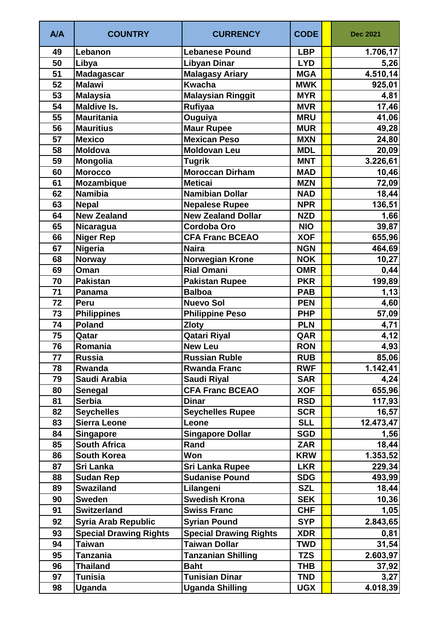| A/A | <b>COUNTRY</b>                | <b>CURRENCY</b>               | <b>CODE</b> | <b>Dec 2021</b> |
|-----|-------------------------------|-------------------------------|-------------|-----------------|
| 49  | Lebanon                       | <b>Lebanese Pound</b>         | <b>LBP</b>  | 1.706,17        |
| 50  | Libya                         | <b>Libyan Dinar</b>           | <b>LYD</b>  | 5,26            |
| 51  | <b>Madagascar</b>             | <b>Malagasy Ariary</b>        | <b>MGA</b>  | 4.510,14        |
| 52  | <b>Malawi</b>                 | <b>Kwacha</b>                 | <b>MWK</b>  | 925,01          |
| 53  | <b>Malaysia</b>               | <b>Malaysian Ringgit</b>      | <b>MYR</b>  | 4,81            |
| 54  | <b>Maldive Is.</b>            | <b>Rufiyaa</b>                | <b>MVR</b>  | 17,46           |
| 55  | <b>Mauritania</b>             | Ouguiya                       | <b>MRU</b>  | 41,06           |
| 56  | <b>Mauritius</b>              | <b>Maur Rupee</b>             | <b>MUR</b>  | 49,28           |
| 57  | <b>Mexico</b>                 | <b>Mexican Peso</b>           | <b>MXN</b>  | 24,80           |
| 58  | <b>Moldova</b>                | <b>Moldovan Leu</b>           | <b>MDL</b>  | 20,09           |
| 59  | Mongolia                      | <b>Tugrik</b>                 | <b>MNT</b>  | 3.226,61        |
| 60  | <b>Morocco</b>                | <b>Moroccan Dirham</b>        | <b>MAD</b>  | 10,46           |
| 61  | <b>Mozambique</b>             | <b>Meticai</b>                | <b>MZN</b>  | 72,09           |
| 62  | <b>Namibia</b>                | <b>Namibian Dollar</b>        | <b>NAD</b>  | 18,44           |
| 63  | <b>Nepal</b>                  | <b>Nepalese Rupee</b>         | <b>NPR</b>  | 136,51          |
| 64  | <b>New Zealand</b>            | <b>New Zealand Dollar</b>     | <b>NZD</b>  | 1,66            |
| 65  | Nicaragua                     | <b>Cordoba Oro</b>            | <b>NIO</b>  | 39,87           |
| 66  | <b>Niger Rep</b>              | <b>CFA Franc BCEAO</b>        | <b>XOF</b>  | 655,96          |
| 67  | <b>Nigeria</b>                | <b>Naira</b>                  | <b>NGN</b>  | 464,69          |
| 68  | <b>Norway</b>                 | <b>Norwegian Krone</b>        | <b>NOK</b>  | 10,27           |
| 69  | Oman                          | Rial Omani                    | <b>OMR</b>  | 0,44            |
| 70  | <b>Pakistan</b>               | <b>Pakistan Rupee</b>         | <b>PKR</b>  | 199,89          |
| 71  | Panama                        | <b>Balboa</b>                 | <b>PAB</b>  | 1,13            |
| 72  | Peru                          | <b>Nuevo Sol</b>              | <b>PEN</b>  | 4,60            |
| 73  | <b>Philippines</b>            | <b>Philippine Peso</b>        | <b>PHP</b>  | 57,09           |
| 74  | <b>Poland</b>                 | <b>Zloty</b>                  | <b>PLN</b>  | 4,71            |
| 75  | Qatar                         | Qatari Riyal                  | QAR         | 4,12            |
| 76  | Romania                       | <b>New Leu</b>                | <b>RON</b>  | 4,93            |
| 77  | <b>Russia</b>                 | <b>Russian Ruble</b>          | <b>RUB</b>  | 85,06           |
| 78  | Rwanda                        | <b>Rwanda Franc</b>           | <b>RWF</b>  | 1.142,41        |
| 79  | Saudi Arabia                  | <b>Saudi Riyal</b>            | <b>SAR</b>  | 4,24            |
| 80  | <b>Senegal</b>                | <b>CFA Franc BCEAO</b>        | <b>XOF</b>  | 655,96          |
| 81  | <b>Serbia</b>                 | <b>Dinar</b>                  | <b>RSD</b>  | 117,93          |
| 82  | <b>Seychelles</b>             | <b>Seychelles Rupee</b>       | <b>SCR</b>  | 16,57           |
| 83  | <b>Sierra Leone</b>           | Leone                         | <b>SLL</b>  | 12.473,47       |
| 84  | <b>Singapore</b>              | <b>Singapore Dollar</b>       | <b>SGD</b>  | 1,56            |
| 85  | <b>South Africa</b>           | Rand                          | ZAR         | 18,44           |
| 86  | <b>South Korea</b>            | Won                           | <b>KRW</b>  | 1.353,52        |
| 87  | Sri Lanka                     | <b>Sri Lanka Rupee</b>        | <b>LKR</b>  | 229,34          |
| 88  | <b>Sudan Rep</b>              | <b>Sudanise Pound</b>         | <b>SDG</b>  | 493,99          |
| 89  | <b>Swaziland</b>              | Lilangeni                     | <b>SZL</b>  | 18,44           |
| 90  | <b>Sweden</b>                 | <b>Swedish Krona</b>          | <b>SEK</b>  | 10,36           |
| 91  | <b>Switzerland</b>            | <b>Swiss Franc</b>            | <b>CHF</b>  | 1,05            |
| 92  | <b>Syria Arab Republic</b>    | <b>Syrian Pound</b>           | <b>SYP</b>  | 2.843,65        |
| 93  | <b>Special Drawing Rights</b> | <b>Special Drawing Rights</b> | <b>XDR</b>  | 0,81            |
| 94  | Taiwan                        | <b>Taiwan Dollar</b>          | TWD         | 31,54           |
| 95  | Tanzania                      | <b>Tanzanian Shilling</b>     | <b>TZS</b>  | 2.603,97        |
| 96  | <b>Thailand</b>               | <b>Baht</b>                   | <b>THB</b>  | 37,92           |
| 97  | Tunisia                       | <b>Tunisian Dinar</b>         | <b>TND</b>  | 3,27            |
| 98  | Uganda                        | <b>Uganda Shilling</b>        | <b>UGX</b>  | 4.018,39        |